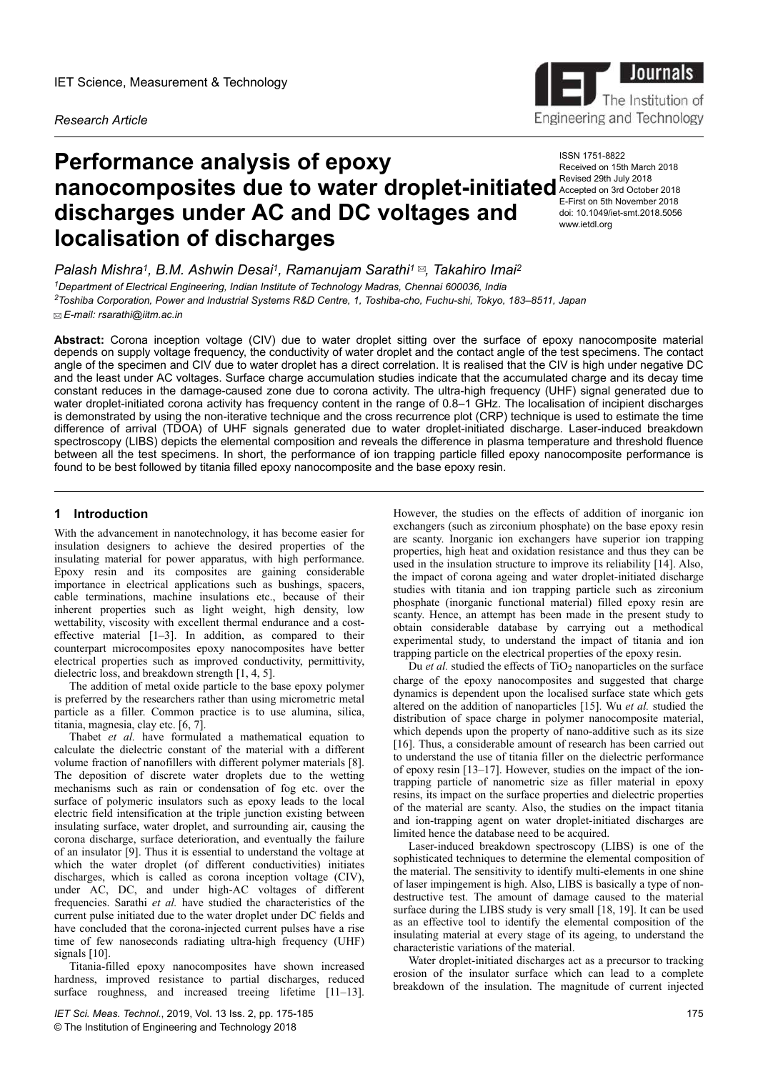# *Research Article*

# **Performance analysis of epoxy nanocomposites due to water droplet-initiated** Accepted on 3rd October 2018 **discharges under AC and DC voltages and localisation of discharges**

*Palash Mishra<sup>1</sup> , B.M. Ashwin Desai<sup>1</sup> , Ramanujam Sarathi<sup>1</sup> , Takahiro Imai<sup>2</sup>*

*<sup>1</sup>Department of Electrical Engineering, Indian Institute of Technology Madras, Chennai 600036, India*

*<sup>2</sup>Toshiba Corporation, Power and Industrial Systems R&D Centre, 1, Toshiba-cho, Fuchu-shi, Tokyo, 183–8511, Japan E-mail: rsarathi@iitm.ac.in*

**Abstract:** Corona inception voltage (CIV) due to water droplet sitting over the surface of epoxy nanocomposite material depends on supply voltage frequency, the conductivity of water droplet and the contact angle of the test specimens. The contact angle of the specimen and CIV due to water droplet has a direct correlation. It is realised that the CIV is high under negative DC and the least under AC voltages. Surface charge accumulation studies indicate that the accumulated charge and its decay time constant reduces in the damage-caused zone due to corona activity. The ultra-high frequency (UHF) signal generated due to water droplet-initiated corona activity has frequency content in the range of 0.8–1 GHz. The localisation of incipient discharges is demonstrated by using the non-iterative technique and the cross recurrence plot (CRP) technique is used to estimate the time difference of arrival (TDOA) of UHF signals generated due to water droplet-initiated discharge. Laser-induced breakdown spectroscopy (LIBS) depicts the elemental composition and reveals the difference in plasma temperature and threshold fluence between all the test specimens. In short, the performance of ion trapping particle filled epoxy nanocomposite performance is found to be best followed by titania filled epoxy nanocomposite and the base epoxy resin.

# **1** Introduction

With the advancement in nanotechnology, it has become easier for insulation designers to achieve the desired properties of the insulating material for power apparatus, with high performance. Epoxy resin and its composites are gaining considerable importance in electrical applications such as bushings, spacers, cable terminations, machine insulations etc., because of their inherent properties such as light weight, high density, low wettability, viscosity with excellent thermal endurance and a costeffective material [1–3]. In addition, as compared to their counterpart microcomposites epoxy nanocomposites have better electrical properties such as improved conductivity, permittivity, dielectric loss, and breakdown strength [1, 4, 5].

The addition of metal oxide particle to the base epoxy polymer is preferred by the researchers rather than using micrometric metal particle as a filler. Common practice is to use alumina, silica, titania, magnesia, clay etc. [6, 7].

Thabet *et al.* have formulated a mathematical equation to calculate the dielectric constant of the material with a different volume fraction of nanofillers with different polymer materials [8]. The deposition of discrete water droplets due to the wetting mechanisms such as rain or condensation of fog etc. over the surface of polymeric insulators such as epoxy leads to the local electric field intensification at the triple junction existing between insulating surface, water droplet, and surrounding air, causing the corona discharge, surface deterioration, and eventually the failure of an insulator [9]. Thus it is essential to understand the voltage at which the water droplet (of different conductivities) initiates discharges, which is called as corona inception voltage (CIV), under AC, DC, and under high-AC voltages of different frequencies. Sarathi *et al.* have studied the characteristics of the current pulse initiated due to the water droplet under DC fields and have concluded that the corona-injected current pulses have a rise time of few nanoseconds radiating ultra-high frequency (UHF) signals [10].

Titania-filled epoxy nanocomposites have shown increased hardness, improved resistance to partial discharges, reduced surface roughness, and increased treeing lifetime [11–13].

However, the studies on the effects of addition of inorganic ion exchangers (such as zirconium phosphate) on the base epoxy resin are scanty. Inorganic ion exchangers have superior ion trapping properties, high heat and oxidation resistance and thus they can be used in the insulation structure to improve its reliability [14]. Also, the impact of corona ageing and water droplet-initiated discharge studies with titania and ion trapping particle such as zirconium phosphate (inorganic functional material) filled epoxy resin are scanty. Hence, an attempt has been made in the present study to obtain considerable database by carrying out a methodical experimental study, to understand the impact of titania and ion trapping particle on the electrical properties of the epoxy resin.

Du *et al.* studied the effects of  $TiO<sub>2</sub>$  nanoparticles on the surface charge of the epoxy nanocomposites and suggested that charge dynamics is dependent upon the localised surface state which gets altered on the addition of nanoparticles [15]. Wu *et al.* studied the distribution of space charge in polymer nanocomposite material, which depends upon the property of nano-additive such as its size [16]. Thus, a considerable amount of research has been carried out to understand the use of titania filler on the dielectric performance of epoxy resin [13–17]. However, studies on the impact of the iontrapping particle of nanometric size as filler material in epoxy resins, its impact on the surface properties and dielectric properties of the material are scanty. Also, the studies on the impact titania and ion-trapping agent on water droplet-initiated discharges are limited hence the database need to be acquired.

Laser-induced breakdown spectroscopy (LIBS) is one of the sophisticated techniques to determine the elemental composition of the material. The sensitivity to identify multi-elements in one shine of laser impingement is high. Also, LIBS is basically a type of nondestructive test. The amount of damage caused to the material surface during the LIBS study is very small [18, 19]. It can be used as an effective tool to identify the elemental composition of the insulating material at every stage of its ageing, to understand the characteristic variations of the material.

Water droplet-initiated discharges act as a precursor to tracking erosion of the insulator surface which can lead to a complete breakdown of the insulation. The magnitude of current injected



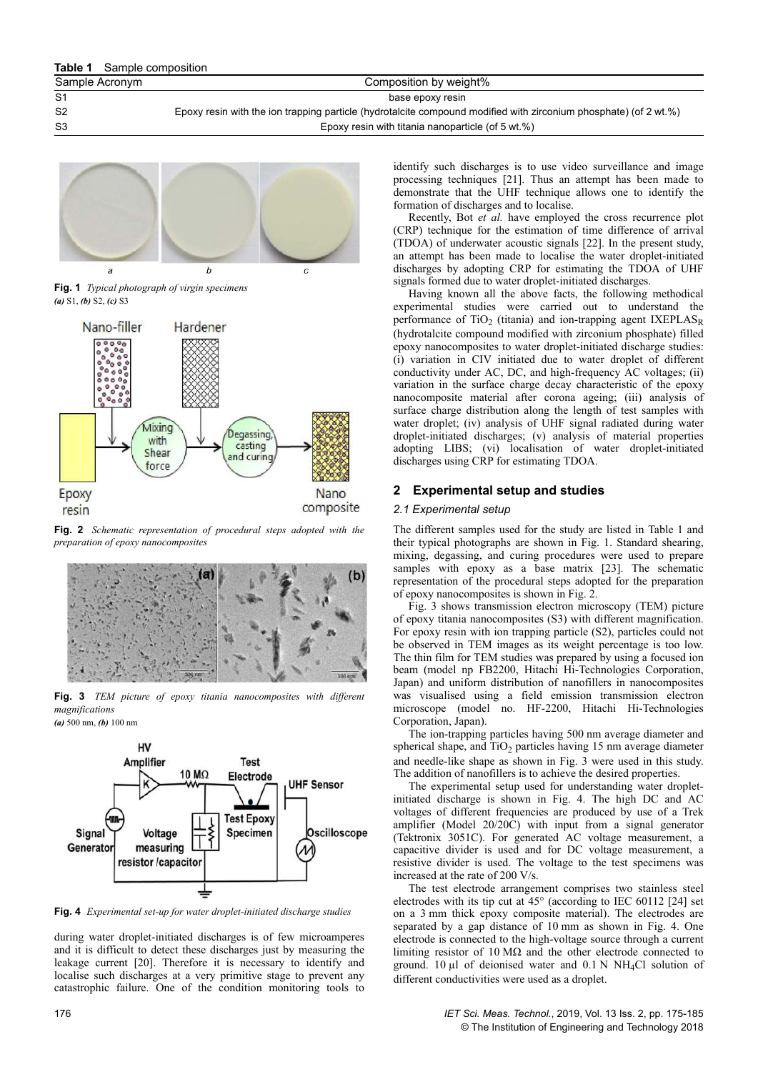| Sample Acronym | Composition by weight%                                                                                                         |
|----------------|--------------------------------------------------------------------------------------------------------------------------------|
| S1             | base epoxy resin                                                                                                               |
| S2             | Epoxy resin with the ion trapping particle (hydrotalcite compound modified with zirconium phosphate) (of $2 \text{ wt. } \%$ ) |
| S3             | Epoxy resin with titania nanoparticle (of 5 wt.%)                                                                              |
|                |                                                                                                                                |



**Fig. 1** *Typical photograph of virgin specimens (a)* S1, *(b)* S2, *(c)* S3



**Fig. 2** *Schematic representation of procedural steps adopted with the preparation of epoxy nanocomposites*



**Fig. 3** *TEM picture of epoxy titania nanocomposites with different magnifications*

*(a)* 500 nm, *(b)* 100 nm



**Fig. 4** *Experimental set-up for water droplet-initiated discharge studies*

during water droplet-initiated discharges is of few microamperes and it is difficult to detect these discharges just by measuring the leakage current [20]. Therefore it is necessary to identify and localise such discharges at a very primitive stage to prevent any catastrophic failure. One of the condition monitoring tools to

identify such discharges is to use video surveillance and image processing techniques [21]. Thus an attempt has been made to demonstrate that the UHF technique allows one to identify the formation of discharges and to localise.

Recently, Bot *et al.* have employed the cross recurrence plot (CRP) technique for the estimation of time difference of arrival (TDOA) of underwater acoustic signals [22]. In the present study, an attempt has been made to localise the water droplet-initiated discharges by adopting CRP for estimating the TDOA of UHF signals formed due to water droplet-initiated discharges.

Having known all the above facts, the following methodical experimental studies were carried out to understand the performance of  $TiO<sub>2</sub>$  (titania) and ion-trapping agent IXEPLAS<sub>R</sub> (hydrotalcite compound modified with zirconium phosphate) filled epoxy nanocomposites to water droplet-initiated discharge studies: (i) variation in CIV initiated due to water droplet of different conductivity under AC, DC, and high-frequency AC voltages; (ii) variation in the surface charge decay characteristic of the epoxy nanocomposite material after corona ageing; (iii) analysis of surface charge distribution along the length of test samples with water droplet; (iv) analysis of UHF signal radiated during water droplet-initiated discharges; (v) analysis of material properties adopting LIBS; (vi) localisation of water droplet-initiated discharges using CRP for estimating TDOA.

# **2Experimental setup and studies**

# *2.1 Experimental setup*

The different samples used for the study are listed in Table 1 and their typical photographs are shown in Fig. 1. Standard shearing, mixing, degassing, and curing procedures were used to prepare samples with epoxy as a base matrix [23]. The schematic representation of the procedural steps adopted for the preparation of epoxy nanocomposites is shown in Fig. 2.

Fig. 3 shows transmission electron microscopy (TEM) picture of epoxy titania nanocomposites (S3) with different magnification. For epoxy resin with ion trapping particle (S2), particles could not be observed in TEM images as its weight percentage is too low. The thin film for TEM studies was prepared by using a focused ion beam (model np FB2200, Hitachi Hi-Technologies Corporation, Japan) and uniform distribution of nanofillers in nanocomposites was visualised using a field emission transmission electron microscope (model no. HF-2200, Hitachi Hi-Technologies Corporation, Japan).

The ion-trapping particles having 500 nm average diameter and spherical shape, and  $TiO<sub>2</sub>$  particles having 15 nm average diameter and needle-like shape as shown in Fig. 3 were used in this study. The addition of nanofillers is to achieve the desired properties.

The experimental setup used for understanding water dropletinitiated discharge is shown in Fig. 4. The high DC and AC voltages of different frequencies are produced by use of a Trek amplifier (Model 20/20C) with input from a signal generator (Tektronix 3051C). For generated AC voltage measurement, a capacitive divider is used and for DC voltage measurement, a resistive divider is used. The voltage to the test specimens was increased at the rate of 200 V/s.

The test electrode arrangement comprises two stainless steel electrodes with its tip cut at 45° (according to IEC 60112 [24] set on a 3 mm thick epoxy composite material). The electrodes are separated by a gap distance of 10 mm as shown in Fig. 4. One electrode is connected to the high-voltage source through a current limiting resistor of  $10 \text{ M}\Omega$  and the other electrode connected to ground. 10  $\mu$ l of deionised water and 0.1 N NH<sub>4</sub>Cl solution of different conductivities were used as a droplet.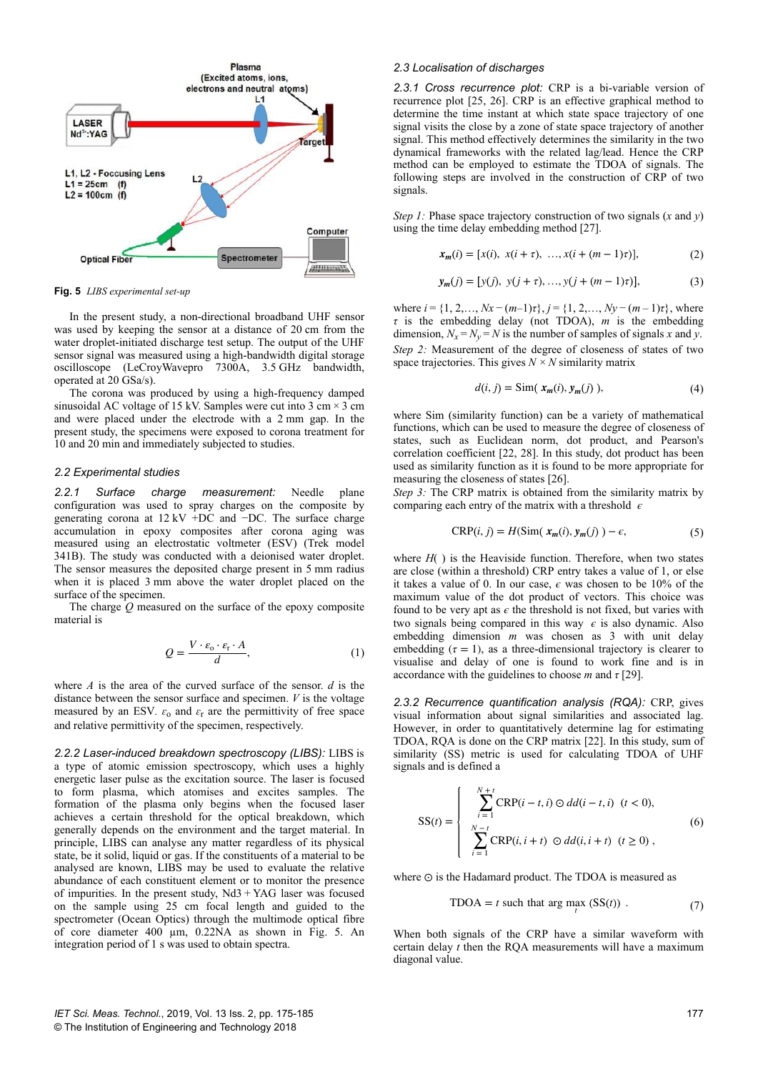

**Fig. 5** *LIBS experimental set-up*

In the present study, a non-directional broadband UHF sensor was used by keeping the sensor at a distance of 20 cm from the water droplet-initiated discharge test setup. The output of the UHF sensor signal was measured using a high-bandwidth digital storage oscilloscope (LeCroyWavepro 7300A, 3.5 GHz bandwidth, operated at 20 GSa/s).

The corona was produced by using a high-frequency damped sinusoidal AC voltage of 15 kV. Samples were cut into 3 cm  $\times$  3 cm and were placed under the electrode with a 2 mm gap. In the present study, the specimens were exposed to corona treatment for 10 and 20 min and immediately subjected to studies.

#### *2.2 Experimental studies*

*2.2.1 Surface charge measurement:* Needle plane configuration was used to spray charges on the composite by generating corona at  $12$  kV +DC and −DC. The surface charge accumulation in epoxy composites after corona aging was measured using an electrostatic voltmeter (ESV) (Trek model 341B). The study was conducted with a deionised water droplet. The sensor measures the deposited charge present in 5 mm radius when it is placed 3 mm above the water droplet placed on the surface of the specimen.

The charge *Q* measured on the surface of the epoxy composite material is

$$
Q = \frac{V \cdot \varepsilon_{0} \cdot \varepsilon_{r} \cdot A}{d},\tag{1}
$$

where *A* is the area of the curved surface of the sensor. *d* is the distance between the sensor surface and specimen. *V* is the voltage measured by an ESV.  $\varepsilon_0$  and  $\varepsilon_r$  are the permittivity of free space and relative permittivity of the specimen, respectively.

*2.2.2 Laser-induced breakdown spectroscopy (LIBS):* LIBS is a type of atomic emission spectroscopy, which uses a highly energetic laser pulse as the excitation source. The laser is focused to form plasma, which atomises and excites samples. The formation of the plasma only begins when the focused laser achieves a certain threshold for the optical breakdown, which generally depends on the environment and the target material. In principle, LIBS can analyse any matter regardless of its physical state, be it solid, liquid or gas. If the constituents of a material to be analysed are known, LIBS may be used to evaluate the relative abundance of each constituent element or to monitor the presence of impurities. In the present study,  $Nd3 + YAG$  laser was focused on the sample using 25 cm focal length and guided to the spectrometer (Ocean Optics) through the multimode optical fibre of core diameter 400 µm, 0.22NA as shown in Fig. 5. An integration period of 1 s was used to obtain spectra.

## *2.3 Localisation of discharges*

*2.3.1 Cross recurrence plot:* CRP is a bi-variable version of recurrence plot [25, 26]. CRP is an effective graphical method to determine the time instant at which state space trajectory of one signal visits the close by a zone of state space trajectory of another signal. This method effectively determines the similarity in the two dynamical frameworks with the related lag/lead. Hence the CRP method can be employed to estimate the TDOA of signals. The following steps are involved in the construction of CRP of two signals.

*Step 1:* Phase space trajectory construction of two signals (*x* and *y*) using the time delay embedding method [27].

$$
\mathbf{x}_{m}(i) = [x(i), \ x(i + \tau), \ \dots, x(i + (m - 1)\tau)], \tag{2}
$$

$$
\mathbf{y}_m(j) = [y(j), \ y(j+\tau), \dots, y(j+(m-1)\tau)], \tag{3}
$$

where *i* = {1, 2,…, *Nx* − (*m*–1)*τ*}, *j* = {1, 2,…, *Ny* − (*m* – 1)*τ*}, where *τ* is the embedding delay (not TDOA), *m* is the embedding dimension,  $N_x = N_y = N$  is the number of samples of signals *x* and *y*. *Step 2:* Measurement of the degree of closeness of states of two space trajectories. This gives  $N \times N$  similarity matrix

$$
d(i, j) = \text{Sim}(\mathbf{x}_m(i), \mathbf{y}_m(j)),\tag{4}
$$

where Sim (similarity function) can be a variety of mathematical functions, which can be used to measure the degree of closeness of states, such as Euclidean norm, dot product, and Pearson's correlation coefficient [22, 28]. In this study, dot product has been used as similarity function as it is found to be more appropriate for measuring the closeness of states [26].

*Step 3:* The CRP matrix is obtained from the similarity matrix by comparing each entry of the matrix with a threshold  $\epsilon$ 

$$
CRP(i, j) = H(Sim(\ x_m(i), y_m(j)) - \epsilon,
$$
\n(5)

where  $H()$  is the Heaviside function. Therefore, when two states are close (within a threshold) CRP entry takes a value of 1, or else it takes a value of 0. In our case, *ϵ* was chosen to be 10% of the maximum value of the dot product of vectors. This choice was found to be very apt as  $\epsilon$  the threshold is not fixed, but varies with two signals being compared in this way *ϵ* is also dynamic. Also embedding dimension *m* was chosen as 3 with unit delay embedding  $(\tau = 1)$ , as a three-dimensional trajectory is clearer to visualise and delay of one is found to work fine and is in accordance with the guidelines to choose *m* and *τ* [29].

*2.3.2 Recurrence quantification analysis (RQA):* CRP, gives visual information about signal similarities and associated lag. However, in order to quantitatively determine lag for estimating TDOA, RQA is done on the CRP matrix [22]. In this study, sum of similarity (SS) metric is used for calculating TDOA of UHF signals and is defined a

$$
SS(t) = \begin{cases} \sum_{i=1}^{N+t} \text{CRP}(i - t, i) \odot dd(i - t, i) & (t < 0), \\ \sum_{i=1}^{N-t} \text{CRP}(i, i + t) \odot dd(i, i + t) & (t \ge 0), \end{cases}
$$
(6)

where ⊙ is the Hadamard product. The TDOA is measured as

$$
TDOA = t \text{ such that } \arg \max_{t} (SS(t)) . \tag{7}
$$

When both signals of the CRP have a similar waveform with certain delay *t* then the RQA measurements will have a maximum diagonal value.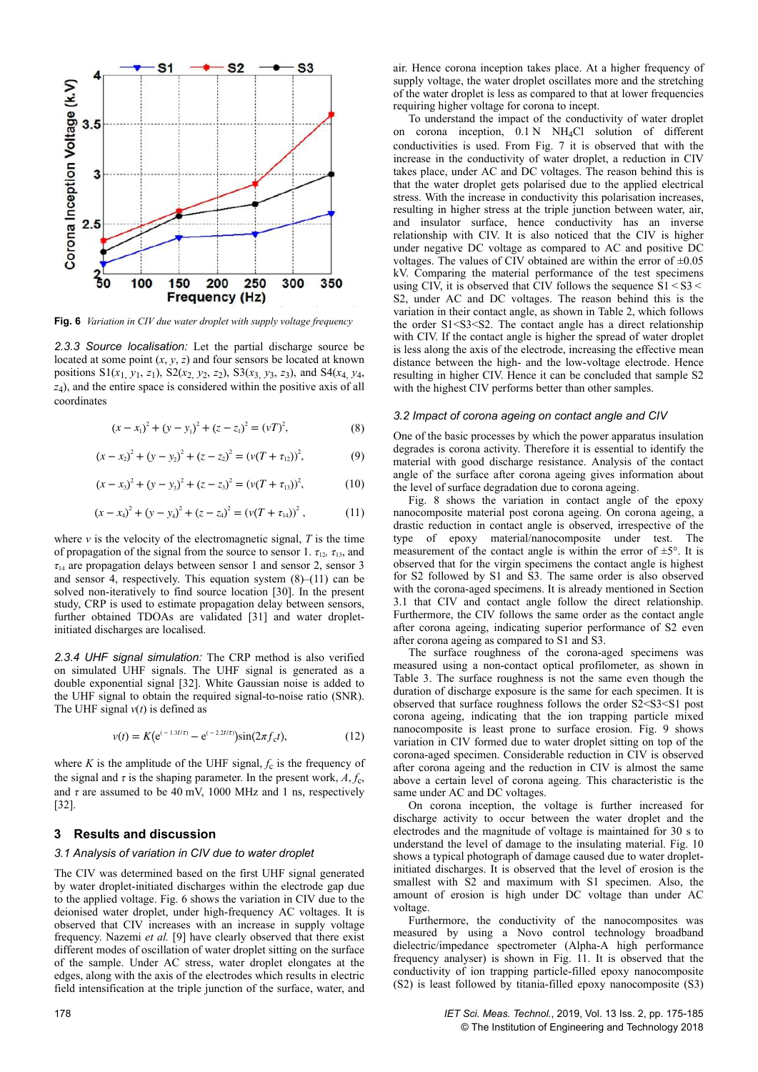

**Fig. 6** *Variation in CIV due water droplet with supply voltage frequency*

*2.3.3 Source localisation:* Let the partial discharge source be located at some point  $(x, y, z)$  and four sensors be located at known positions  $S1(x_1, y_1, z_1)$ ,  $S2(x_2, y_2, z_2)$ ,  $S3(x_3, y_3, z_3)$ , and  $S4(x_4, y_4, z_1)$ *z*4 ), and the entire space is considered within the positive axis of all coordinates

$$
(x - x1)2 + (y - y1)2 + (z - z1)2 = (vT)2,
$$
 (8)

$$
(x - x2)2 + (y - y2)2 + (z - z2)2 = (v(T + \tau12))2,
$$
 (9)

$$
(x - x3)2 + (y - y3)2 + (z - z3)2 = (v(T + \tau13))2,
$$
 (10)

$$
(x - x_4)^2 + (y - y_4)^2 + (z - z_4)^2 = (v(T + \tau_{14}))^2, \qquad (11)
$$

where  $\nu$  is the velocity of the electromagnetic signal,  $T$  is the time of propagation of the signal from the source to sensor 1.  $\tau_{12}$ ,  $\tau_{13}$ , and  $\tau_{14}$  are propagation delays between sensor 1 and sensor 2, sensor 3 and sensor 4, respectively. This equation system  $(8)$ – $(11)$  can be solved non-iteratively to find source location [30]. In the present study, CRP is used to estimate propagation delay between sensors, further obtained TDOAs are validated [31] and water dropletinitiated discharges are localised.

*2.3.4 UHF signal simulation:* The CRP method is also verified on simulated UHF signals. The UHF signal is generated as a double exponential signal [32]. White Gaussian noise is added to the UHF signal to obtain the required signal-to-noise ratio (SNR). The UHF signal  $v(t)$  is defined as

$$
v(t) = K(e^{(-1.3t/\tau)} - e^{(-2.2t/\tau)})\sin(2\pi f_c t),
$$
\n(12)

where *K* is the amplitude of the UHF signal,  $f_c$  is the frequency of the signal and  $\tau$  is the shaping parameter. In the present work,  $A, f_c$ , and  $\tau$  are assumed to be 40 mV, 1000 MHz and 1 ns, respectively [32].

# **3Results and discussion**

#### *3.1 Analysis of variation in CIV due to water droplet*

The CIV was determined based on the first UHF signal generated by water droplet-initiated discharges within the electrode gap due to the applied voltage. Fig. 6 shows the variation in CIV due to the deionised water droplet, under high-frequency AC voltages. It is observed that CIV increases with an increase in supply voltage frequency. Nazemi *et al.* [9] have clearly observed that there exist different modes of oscillation of water droplet sitting on the surface of the sample. Under AC stress, water droplet elongates at the edges, along with the axis of the electrodes which results in electric field intensification at the triple junction of the surface, water, and

air. Hence corona inception takes place. At a higher frequency of supply voltage, the water droplet oscillates more and the stretching of the water droplet is less as compared to that at lower frequencies requiring higher voltage for corona to incept.

To understand the impact of the conductivity of water droplet on corona inception, 0.1 N NH4Cl solution of different conductivities is used. From Fig. 7 it is observed that with the increase in the conductivity of water droplet, a reduction in CIV takes place, under AC and DC voltages. The reason behind this is that the water droplet gets polarised due to the applied electrical stress. With the increase in conductivity this polarisation increases, resulting in higher stress at the triple junction between water, air, and insulator surface, hence conductivity has an inverse relationship with CIV. It is also noticed that the CIV is higher under negative DC voltage as compared to AC and positive DC voltages. The values of CIV obtained are within the error of  $\pm 0.05$ kV. Comparing the material performance of the test specimens using CIV, it is observed that CIV follows the sequence  $\overline{S1} < S3 <$ S2, under AC and DC voltages. The reason behind this is the variation in their contact angle, as shown in Table 2, which follows the order S1<S3<S2. The contact angle has a direct relationship with CIV. If the contact angle is higher the spread of water droplet is less along the axis of the electrode, increasing the effective mean distance between the high- and the low-voltage electrode. Hence resulting in higher CIV. Hence it can be concluded that sample S2 with the highest CIV performs better than other samples.

#### *3.2 Impact of corona ageing on contact angle and CIV*

One of the basic processes by which the power apparatus insulation degrades is corona activity. Therefore it is essential to identify the material with good discharge resistance. Analysis of the contact angle of the surface after corona ageing gives information about the level of surface degradation due to corona ageing.

Fig. 8 shows the variation in contact angle of the epoxy nanocomposite material post corona ageing. On corona ageing, a drastic reduction in contact angle is observed, irrespective of the type of epoxy material/nanocomposite under test. The measurement of the contact angle is within the error of  $\pm 5^{\circ}$ . It is observed that for the virgin specimens the contact angle is highest for S2 followed by S1 and S3. The same order is also observed with the corona-aged specimens. It is already mentioned in Section 3.1 that CIV and contact angle follow the direct relationship. Furthermore, the CIV follows the same order as the contact angle after corona ageing, indicating superior performance of S2 even after corona ageing as compared to S1 and S3.

The surface roughness of the corona-aged specimens was measured using a non-contact optical profilometer, as shown in Table 3. The surface roughness is not the same even though the duration of discharge exposure is the same for each specimen. It is observed that surface roughness follows the order S2<S3<S1 post corona ageing, indicating that the ion trapping particle mixed nanocomposite is least prone to surface erosion. Fig. 9 shows variation in CIV formed due to water droplet sitting on top of the corona-aged specimen. Considerable reduction in CIV is observed after corona ageing and the reduction in CIV is almost the same above a certain level of corona ageing. This characteristic is the same under AC and DC voltages.

On corona inception, the voltage is further increased for discharge activity to occur between the water droplet and the electrodes and the magnitude of voltage is maintained for 30 s to understand the level of damage to the insulating material. Fig. 10 shows a typical photograph of damage caused due to water dropletinitiated discharges. It is observed that the level of erosion is the smallest with S2 and maximum with S1 specimen. Also, the amount of erosion is high under DC voltage than under AC voltage.

Furthermore, the conductivity of the nanocomposites was measured by using a Novo control technology broadband dielectric/impedance spectrometer (Alpha-A high performance frequency analyser) is shown in Fig. 11. It is observed that the conductivity of ion trapping particle-filled epoxy nanocomposite (S2) is least followed by titania-filled epoxy nanocomposite (S3)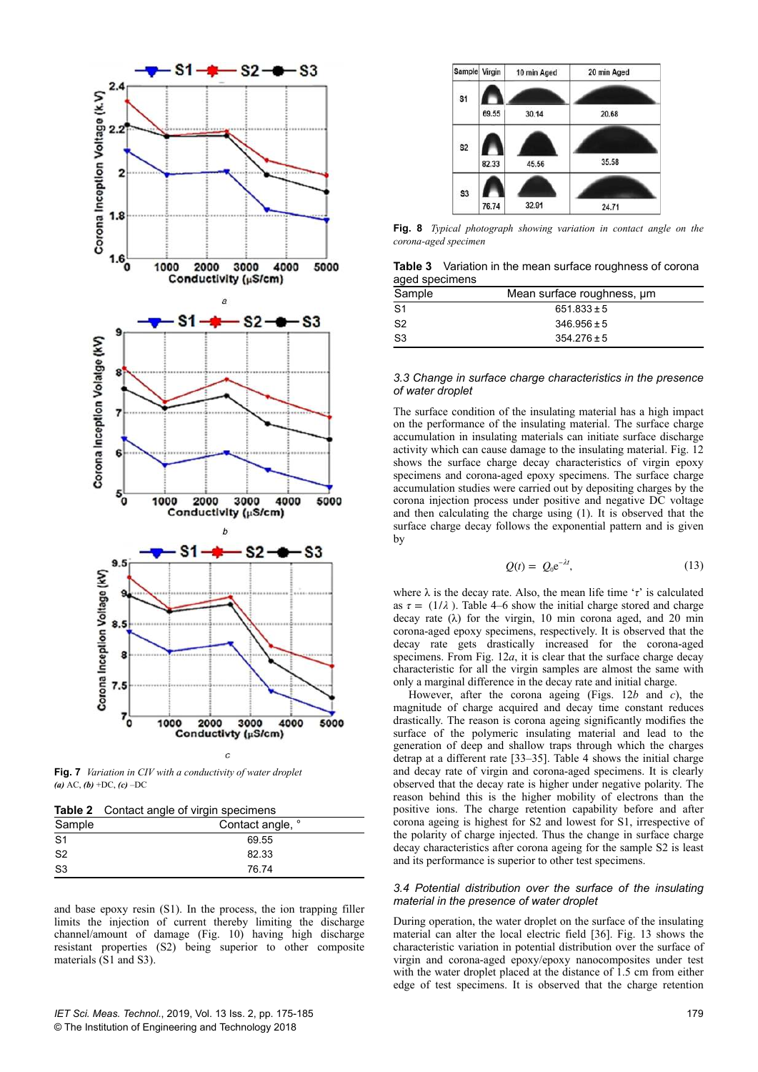

**Fig. 7** *Variation in CIV with a conductivity of water droplet (a)* AC, *(b)* +DC, *(c)* –DC

|  |  |  |  | Table 2 Contact angle of virgin specimens |
|--|--|--|--|-------------------------------------------|
|--|--|--|--|-------------------------------------------|

| .              | sontable angle of virgin oppositions |
|----------------|--------------------------------------|
| Sample         | Contact angle, °                     |
| S <sub>1</sub> | 69.55                                |
| S <sub>2</sub> | 82.33                                |
| S3             | 76.74                                |
|                |                                      |

and base epoxy resin (S1). In the process, the ion trapping filler limits the injection of current thereby limiting the discharge channel/amount of damage (Fig. 10) having high discharge resistant properties (S2) being superior to other composite materials (S1 and S3).



**Fig. 8** *Typical photograph showing variation in contact angle on the corona-aged specimen*

**Table 3** Variation in the mean surface roughness of corona aged specimens

| Sample | Mean surface roughness, um |  |
|--------|----------------------------|--|
| S1     | $651.833 \pm 5$            |  |
| S2     | $346.956 \pm 5$            |  |
| S3     | $354.276 \pm 5$            |  |

#### *3.3 Change in surface charge characteristics in the presence of water droplet*

The surface condition of the insulating material has a high impact on the performance of the insulating material. The surface charge accumulation in insulating materials can initiate surface discharge activity which can cause damage to the insulating material. Fig. 12 shows the surface charge decay characteristics of virgin epoxy specimens and corona-aged epoxy specimens. The surface charge accumulation studies were carried out by depositing charges by the corona injection process under positive and negative DC voltage and then calculating the charge using (1). It is observed that the surface charge decay follows the exponential pattern and is given by

$$
Q(t) = Q_0 e^{-\lambda t}, \qquad (13)
$$

where λ is the decay rate. Also, the mean life time '*τ*' is calculated as  $\tau = (1/\lambda)$ . Table 4–6 show the initial charge stored and charge decay rate  $(\lambda)$  for the virgin, 10 min corona aged, and 20 min corona-aged epoxy specimens, respectively. It is observed that the decay rate gets drastically increased for the corona-aged specimens. From Fig. 12*a*, it is clear that the surface charge decay characteristic for all the virgin samples are almost the same with only a marginal difference in the decay rate and initial charge.

However, after the corona ageing (Figs. 12*b* and *c*), the magnitude of charge acquired and decay time constant reduces drastically. The reason is corona ageing significantly modifies the surface of the polymeric insulating material and lead to the generation of deep and shallow traps through which the charges detrap at a different rate [33–35]. Table 4 shows the initial charge and decay rate of virgin and corona-aged specimens. It is clearly observed that the decay rate is higher under negative polarity. The reason behind this is the higher mobility of electrons than the positive ions. The charge retention capability before and after corona ageing is highest for S2 and lowest for S1, irrespective of the polarity of charge injected. Thus the change in surface charge decay characteristics after corona ageing for the sample S2 is least and its performance is superior to other test specimens.

#### *3.4 Potential distribution over the surface of the insulating material in the presence of water droplet*

During operation, the water droplet on the surface of the insulating material can alter the local electric field [36]. Fig. 13 shows the characteristic variation in potential distribution over the surface of virgin and corona-aged epoxy/epoxy nanocomposites under test with the water droplet placed at the distance of 1.5 cm from either edge of test specimens. It is observed that the charge retention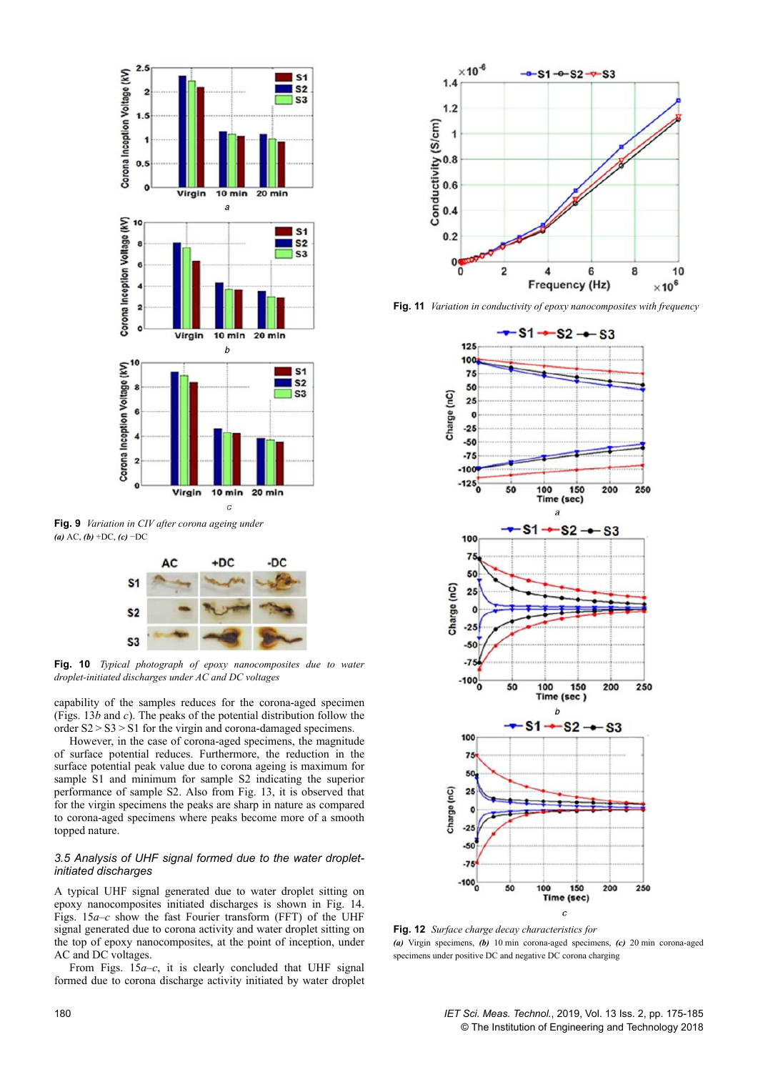

**Fig. 9** *Variation in CIV after corona ageing under (a)* AC, *(b)* +DC, *(c)* −DC



**Fig. 10** *Typical photograph of epoxy nanocomposites due to water droplet-initiated discharges under AC and DC voltages*

capability of the samples reduces for the corona-aged specimen (Figs. 13*b* and *c*). The peaks of the potential distribution follow the order S2 > S3 > S1 for the virgin and corona-damaged specimens.

However, in the case of corona-aged specimens, the magnitude of surface potential reduces. Furthermore, the reduction in the surface potential peak value due to corona ageing is maximum for sample S1 and minimum for sample S2 indicating the superior performance of sample S2. Also from Fig. 13, it is observed that for the virgin specimens the peaks are sharp in nature as compared to corona-aged specimens where peaks become more of a smooth topped nature.

# *3.5 Analysis of UHF signal formed due to the water dropletinitiated discharges*

A typical UHF signal generated due to water droplet sitting on epoxy nanocomposites initiated discharges is shown in Fig. 14. Figs. 15*a*–*c* show the fast Fourier transform (FFT) of the UHF signal generated due to corona activity and water droplet sitting on the top of epoxy nanocomposites, at the point of inception, under AC and DC voltages.

From Figs. 15*a–c*, it is clearly concluded that UHF signal formed due to corona discharge activity initiated by water droplet



**Fig. 11** *Variation in conductivity of epoxy nanocomposites with frequency*



**Fig. 12** *Surface charge decay characteristics for (a)* Virgin specimens, *(b)* 10 min corona-aged specimens, *(c)* 20 min corona-aged specimens under positive DC and negative DC corona charging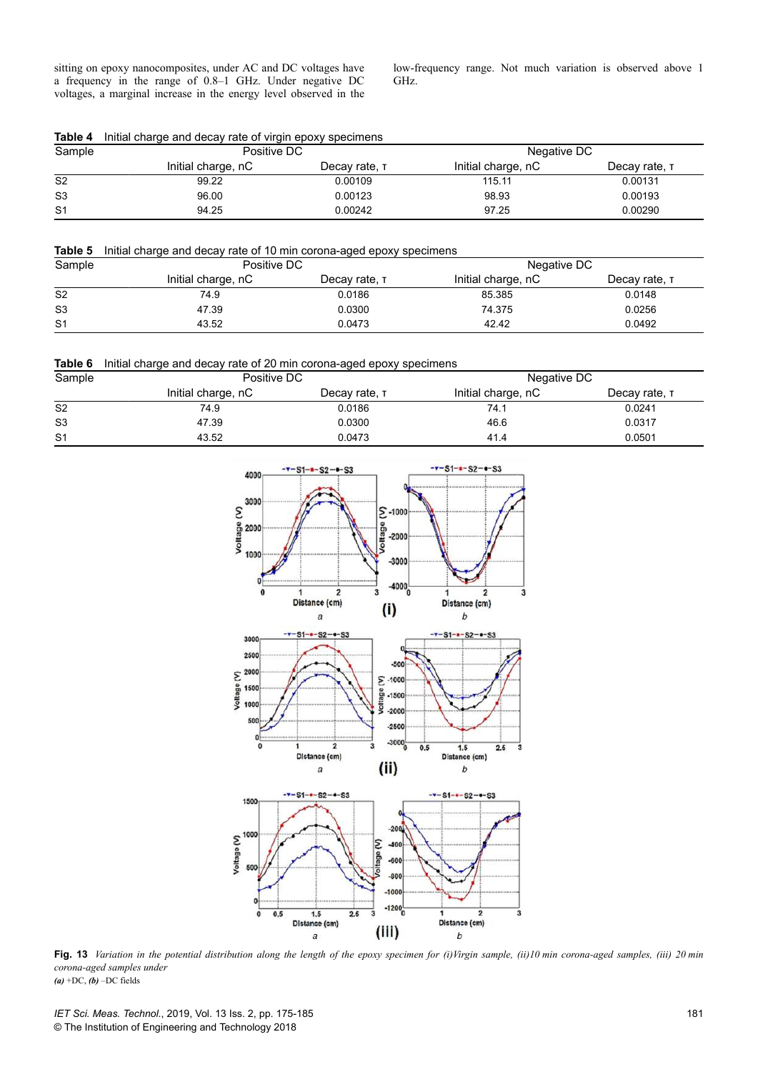sitting on epoxy nanocomposites, under AC and DC voltages have a frequency in the range of 0.8–1 GHz. Under negative DC voltages, a marginal increase in the energy level observed in the low-frequency range. Not much variation is observed above 1 GHz.

**Table 4** Initial charge and decay rate of virgin epoxy specimens

| Sample         | Positive DC        |               | Negative DC        |               |  |
|----------------|--------------------|---------------|--------------------|---------------|--|
|                | Initial charge, nC | Decay rate, T | Initial charge, nC | Decay rate, T |  |
| S <sub>2</sub> | 99.22              | 0.00109       | 115.11             | 0.00131       |  |
| S <sub>3</sub> | 96.00              | 0.00123       | 98.93              | 0.00193       |  |
| S <sub>1</sub> | 94.25              | 0.00242       | 97.25              | 0.00290       |  |

# **Table 5** Initial charge and decay rate of 10 min corona-aged epoxy specimens

| Sample         |                    | Positive DC   |                    | Negative DC   |
|----------------|--------------------|---------------|--------------------|---------------|
|                | Initial charge, nC | Decay rate, T | Initial charge, nC | Decay rate, T |
| S <sub>2</sub> | 74.9               | 0.0186        | 85.385             | 0.0148        |
| S <sub>3</sub> | 47.39              | 0.0300        | 74.375             | 0.0256        |
| S <sub>1</sub> | 43.52              | 0.0473        | 42.42              | 0.0492        |



| Sample         | Positive DC        |               | Negative DC        |               |  |
|----------------|--------------------|---------------|--------------------|---------------|--|
|                | Initial charge, nC | Decay rate, T | Initial charge, nC | Decay rate, T |  |
| S <sub>2</sub> | 74.9               | 0.0186        | 74.1               | 0.0241        |  |
| S <sub>3</sub> | 47.39              | 0.0300        | 46.6               | 0.0317        |  |
| S <sub>1</sub> | 43.52              | 0.0473        | 41.4               | 0.0501        |  |



**Fig. 13** *Variation in the potential distribution along the length of the epoxy specimen for (i)Virgin sample, (ii)10 min corona-aged samples, (iii) 20 min corona-aged samples under*  $(a)$  +DC,  $(b)$  –DC fields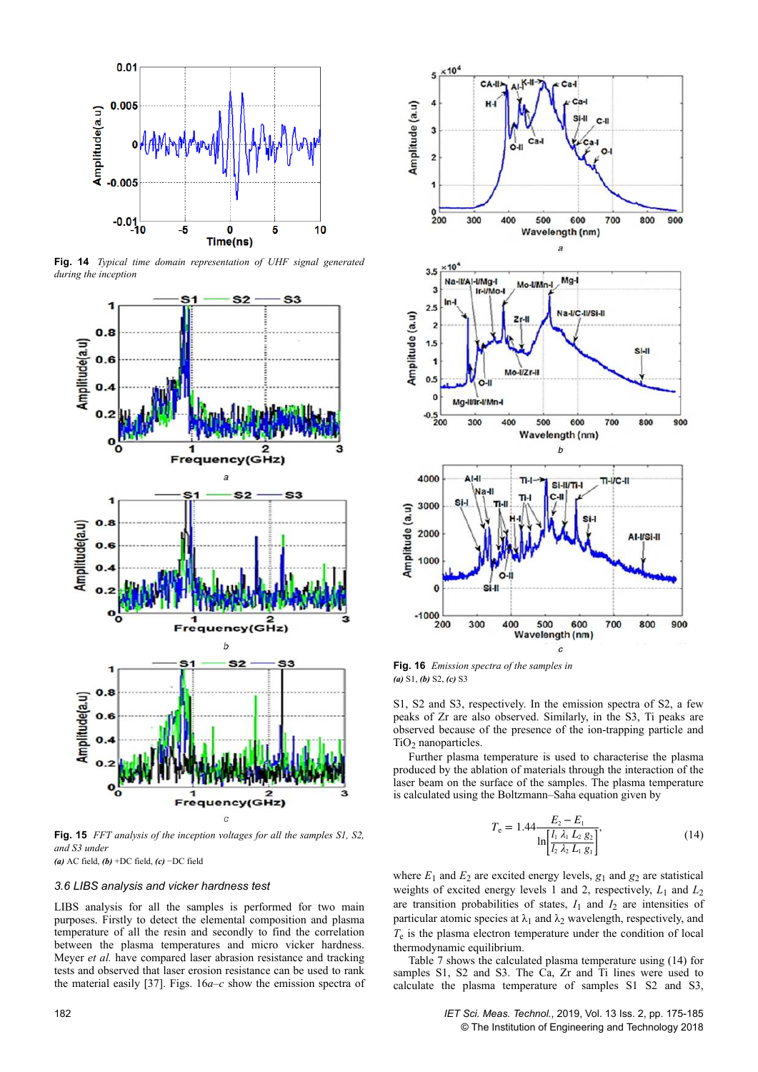

**Fig. 14** *Typical time domain representation of UHF signal generated during the inception*



**Fig. 15** *FFT analysis of the inception voltages for all the samples S1, S2, and S3 under*

*(a)* AC field, *(b)* +DC field, *(c)* −DC field

# *3.6 LIBS analysis and vicker hardness test*

LIBS analysis for all the samples is performed for two main purposes. Firstly to detect the elemental composition and plasma temperature of all the resin and secondly to find the correlation between the plasma temperatures and micro vicker hardness. Meyer *et al.* have compared laser abrasion resistance and tracking tests and observed that laser erosion resistance can be used to rank the material easily [37]. Figs. 16*a*–*c* show the emission spectra of



**Fig. 16** *Emission spectra of the samples in (a)* S1, *(b)* S2, *(c)* S3

S1, S2 and S3, respectively. In the emission spectra of S2, a few peaks of Zr are also observed. Similarly, in the S3, Ti peaks are observed because of the presence of the ion-trapping particle and  $TiO<sub>2</sub>$  nanoparticles.

Further plasma temperature is used to characterise the plasma produced by the ablation of materials through the interaction of the laser beam on the surface of the samples. The plasma temperature is calculated using the Boltzmann–Saha equation given by

$$
T_{\rm e} = 1.44 \frac{E_2 - E_1}{\ln \left[ \frac{l_1 \lambda_1 L_2 g_2}{l_2 \lambda_2 L_1 g_1} \right]},\tag{14}
$$

where  $E_1$  and  $E_2$  are excited energy levels,  $g_1$  and  $g_2$  are statistical weights of excited energy levels 1 and 2, respectively,  $L_1$  and  $L_2$ are transition probabilities of states,  $I_1$  and  $I_2$  are intensities of particular atomic species at  $\lambda_1$  and  $\lambda_2$  wavelength, respectively, and *T*e is the plasma electron temperature under the condition of local thermodynamic equilibrium.

Table 7 shows the calculated plasma temperature using (14) for samples S1, S2 and S3. The Ca, Zr and Ti lines were used to calculate the plasma temperature of samples S1 S2 and S3,

182 *IET Sci. Meas. Technol.*, 2019, Vol. 13 Iss. 2, pp. 175-185 © The Institution of Engineering and Technology 2018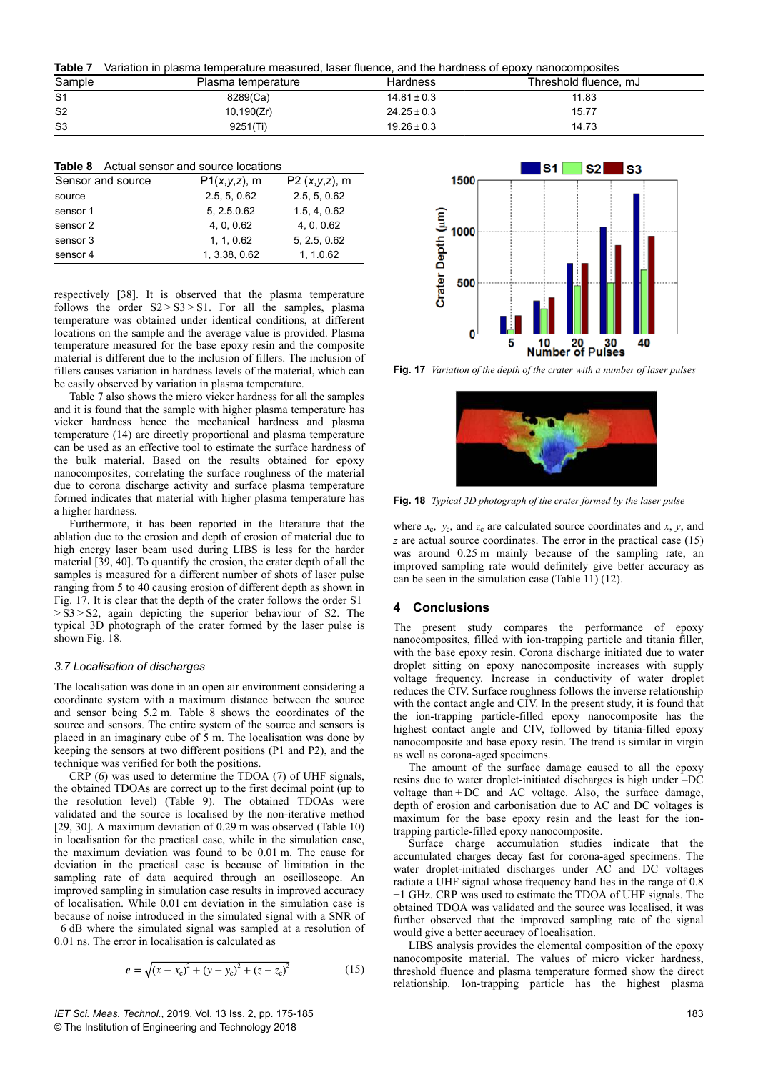**Table 7** Variation in plasma temperature measured, laser fluence, and the hardness of epoxy nanocomposites

| Sample         | Plasma temperature | Hardness        | Threshold fluence, mJ |
|----------------|--------------------|-----------------|-----------------------|
| S <sub>1</sub> | 8289(Ca)           | $14.81 \pm 0.3$ | 11.83                 |
| S <sub>2</sub> | 10, 190(Zr)        | $24.25 \pm 0.3$ | 15.77                 |
| S <sub>3</sub> | 9251(Ti)           | $19.26 \pm 0.3$ | 14.73                 |

| <b>Table 8</b> Actual sensor and source locations |  |  |  |
|---------------------------------------------------|--|--|--|
|                                                   |  |  |  |

| Sensor and source | $P1(x,y,z)$ , m | $P2 (x,y,z)$ , m |
|-------------------|-----------------|------------------|
| source            | 2.5, 5, 0.62    | 2.5, 5, 0.62     |
| sensor 1          | 5, 2.5.0.62     | 1.5, 4, 0.62     |
| sensor 2          | 4.0.0.62        | 4, 0, 0.62       |
| sensor 3          | 1, 1, 0.62      | 5, 2.5, 0.62     |
| sensor 4          | 1, 3.38, 0.62   | 1.1.0.62         |

respectively [38]. It is observed that the plasma temperature follows the order  $S2 > S3 > S1$ . For all the samples, plasma temperature was obtained under identical conditions, at different locations on the sample and the average value is provided. Plasma temperature measured for the base epoxy resin and the composite material is different due to the inclusion of fillers. The inclusion of fillers causes variation in hardness levels of the material, which can be easily observed by variation in plasma temperature.

Table 7 also shows the micro vicker hardness for all the samples and it is found that the sample with higher plasma temperature has vicker hardness hence the mechanical hardness and plasma temperature (14) are directly proportional and plasma temperature can be used as an effective tool to estimate the surface hardness of the bulk material. Based on the results obtained for epoxy nanocomposites, correlating the surface roughness of the material due to corona discharge activity and surface plasma temperature formed indicates that material with higher plasma temperature has a higher hardness.

Furthermore, it has been reported in the literature that the ablation due to the erosion and depth of erosion of material due to high energy laser beam used during LIBS is less for the harder material [39, 40]. To quantify the erosion, the crater depth of all the samples is measured for a different number of shots of laser pulse ranging from 5 to 40 causing erosion of different depth as shown in Fig. 17. It is clear that the depth of the crater follows the order S1  > S3 > S2, again depicting the superior behaviour of S2. The typical 3D photograph of the crater formed by the laser pulse is shown Fig. 18.

#### *3.7 Localisation of discharges*

The localisation was done in an open air environment considering a coordinate system with a maximum distance between the source and sensor being 5.2 m. Table 8 shows the coordinates of the source and sensors. The entire system of the source and sensors is placed in an imaginary cube of 5 m. The localisation was done by keeping the sensors at two different positions (P1 and P2), and the technique was verified for both the positions.

CRP (6) was used to determine the TDOA (7) of UHF signals, the obtained TDOAs are correct up to the first decimal point (up to the resolution level) (Table 9). The obtained TDOAs were validated and the source is localised by the non-iterative method [29, 30]. A maximum deviation of 0.29 m was observed (Table 10) in localisation for the practical case, while in the simulation case, the maximum deviation was found to be 0.01 m. The cause for deviation in the practical case is because of limitation in the sampling rate of data acquired through an oscilloscope. An improved sampling in simulation case results in improved accuracy of localisation. While 0.01 cm deviation in the simulation case is because of noise introduced in the simulated signal with a SNR of −6 dB where the simulated signal was sampled at a resolution of 0.01 ns. The error in localisation is calculated as

$$
e = \sqrt{(x - x_c)^2 + (y - y_c)^2 + (z - z_c)^2}
$$
 (15)





**Fig. 17** *Variation of the depth of the crater with a number of laser pulses*



**Fig. 18** *Typical 3D photograph of the crater formed by the laser pulse*

where  $x_c$ ,  $y_c$ , and  $z_c$  are calculated source coordinates and  $x$ ,  $y$ , and *z* are actual source coordinates. The error in the practical case (15) was around 0.25 m mainly because of the sampling rate, an improved sampling rate would definitely give better accuracy as can be seen in the simulation case (Table 11) (12).

# **4Conclusions**

The present study compares the performance of epoxy nanocomposites, filled with ion-trapping particle and titania filler, with the base epoxy resin. Corona discharge initiated due to water droplet sitting on epoxy nanocomposite increases with supply voltage frequency. Increase in conductivity of water droplet reduces the CIV. Surface roughness follows the inverse relationship with the contact angle and CIV. In the present study, it is found that the ion-trapping particle-filled epoxy nanocomposite has the highest contact angle and CIV, followed by titania-filled epoxy nanocomposite and base epoxy resin. The trend is similar in virgin as well as corona-aged specimens.

The amount of the surface damage caused to all the epoxy resins due to water droplet-initiated discharges is high under –DC voltage than + DC and AC voltage. Also, the surface damage, depth of erosion and carbonisation due to AC and DC voltages is maximum for the base epoxy resin and the least for the iontrapping particle-filled epoxy nanocomposite.

Surface charge accumulation studies indicate that the accumulated charges decay fast for corona-aged specimens. The water droplet-initiated discharges under AC and DC voltages radiate a UHF signal whose frequency band lies in the range of 0.8 −1 GHz. CRP was used to estimate the TDOA of UHF signals. The obtained TDOA was validated and the source was localised, it was further observed that the improved sampling rate of the signal would give a better accuracy of localisation.

LIBS analysis provides the elemental composition of the epoxy nanocomposite material. The values of micro vicker hardness, threshold fluence and plasma temperature formed show the direct relationship. Ion-trapping particle has the highest plasma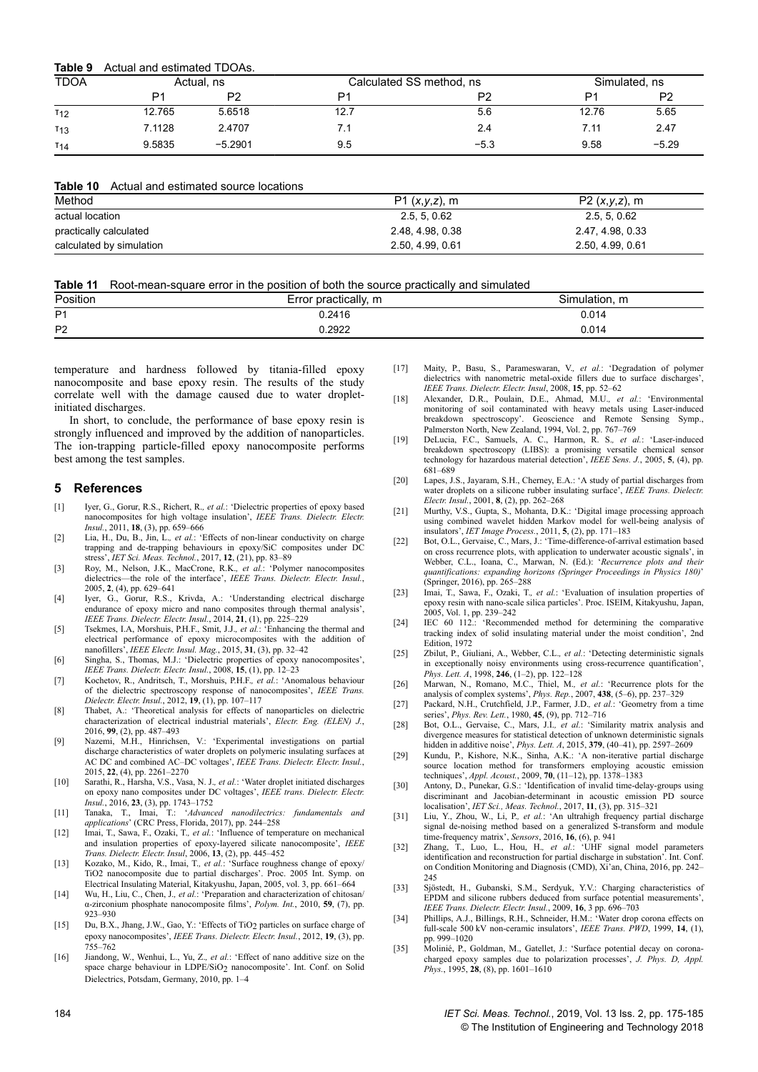| <b>TDOA</b>     | Actual, ns |                | Calculated SS method, ns |        |       | Simulated, ns  |  |
|-----------------|------------|----------------|--------------------------|--------|-------|----------------|--|
|                 | P1         | P <sub>2</sub> | D1                       | P2     | D1    | P <sub>2</sub> |  |
| $T_{12}$        | 12.765     | 5.6518         | 12.7                     | 5.6    | 12.76 | 5.65           |  |
| T <sub>13</sub> | 7.1128     | 2.4707         | 7.1                      | 2.4    | 7.11  | 2.47           |  |
| $T_{14}$        | 9.5835     | $-5.2901$      | 9.5                      | $-5.3$ | 9.58  | $-5.29$        |  |

### **Table 10** Actual and estimated source locations

| Method                   | $P1 (x,y,z)$ , m | $P2(x,y,z)$ , m  |
|--------------------------|------------------|------------------|
| actual location          | 2.5, 5, 0.62     | 2.5, 5, 0.62     |
| practically calculated   | 2.48, 4.98, 0.38 | 2.47, 4.98, 0.33 |
| calculated by simulation | 2.50, 4.99, 0.61 | 2.50, 4.99, 0.61 |

| <b>Table 11</b> Root-mean-square error in the position of both the source practically and simulated |  |  |
|-----------------------------------------------------------------------------------------------------|--|--|
|-----------------------------------------------------------------------------------------------------|--|--|

| Position       | * practically,<br>m<br>Error | Simulation, m |
|----------------|------------------------------|---------------|
| P <sub>1</sub> | 0.2416                       | 0.014         |
| P <sub>2</sub> | ۔2922.                       | 0.014<br>.    |

temperature and hardness followed by titania-filled epoxy nanocomposite and base epoxy resin. The results of the study correlate well with the damage caused due to water dropletinitiated discharges.

In short, to conclude, the performance of base epoxy resin is strongly influenced and improved by the addition of nanoparticles. The ion-trapping particle-filled epoxy nanocomposite performs best among the test samples.

#### **5References**

- [1] Iyer, G., Gorur, R.S., Richert, R.*, et al.*: 'Dielectric properties of epoxy based nanocomposites for high voltage insulation', *IEEE Trans. Dielectr. Electr. Insul.*, 2011, **18**, (3), pp. 659–666
- [2] Lia, H., Du, B., Jin, L.*, et al.*: 'Effects of non-linear conductivity on charge trapping and de-trapping behaviours in epoxy/SiC composites under DC stress', *IET Sci. Meas. Technol.*, 2017, **12**, (21), pp. 83–89
- [3] Roy, M., Nelson, J.K., MacCrone, R.K.*, et al.*: 'Polymer nanocomposites dielectrics—the role of the interface', *IEEE Trans. Dielectr. Electr. Insul.*, 2005, **2**, (4), pp. 629–641
- [4] Iyer, G., Gorur, R.S., Krivda, A.: 'Understanding electrical discharge endurance of epoxy micro and nano composites through thermal analysis', *IEEE Trans. Dielectr. Electr. Insul.*, 2014, **21**, (1), pp. 225–229
- [5] Tsekmes, I.A, Morshuis, P.H.F., Smit, J.J.*, et al.*: 'Enhancing the thermal and electrical performance of epoxy microcomposites with the addition of nanofillers', *IEEE Electr. Insul. Mag.*, 2015, **31**, (3), pp. 32–42
- [6] Singha, S., Thomas, M.J.: 'Dielectric properties of epoxy nanocomposites', *IEEE Trans. Dielectr. Electr. Insul.*, 2008, **15**, (1), pp. 12–23
- [7] Kochetov, R., Andritsch, T., Morshuis, P.H.F.*, et al.*: 'Anomalous behaviour of the dielectric spectroscopy response of nanocomposites', *IEEE Trans. Dielectr. Electr. Insul.*, 2012, **19**, (1), pp. 107–117
- [8] Thabet, A.: 'Theoretical analysis for effects of nanoparticles on dielectric characterization of electrical industrial materials', *Electr. Eng. (ELEN) J.*, 2016, **99**, (2), pp. 487–493
- [9] Nazemi, M.H., Hinrichsen, V.: 'Experimental investigations on partial discharge characteristics of water droplets on polymeric insulating surfaces at AC DC and combined AC–DC voltages', *IEEE Trans. Dielectr. Electr. Insul.*, 2015, **22**, (4), pp. 2261–2270
- [10] Sarathi, R., Harsha, V.S., Vasa, N. J.*, et al.*: 'Water droplet initiated discharges on epoxy nano composites under DC voltages', *IEEE trans. Dielectr. Electr. Insul.*, 2016, **23**, (3), pp. 1743–1752
- [11] Tanaka, T., Imai, T.: '*Advanced nanodilectrics: fundamentals and applications*' (CRC Press, Florida, 2017), pp. 244–258
- [12] Imai, T., Sawa, F., Ozaki, T.*, et al.*: 'Influence of temperature on mechanical and insulation properties of epoxy-layered silicate nanocomposite', *IEEE Trans. Dielectr. Electr. Insul*, 2006, **13**, (2), pp. 445–452
- [13] Kozako, M., Kido, R., Imai, T.*, et al.*: 'Surface roughness change of epoxy/ TiO2 nanocomposite due to partial discharges'. Proc. 2005 Int. Symp. on Electrical Insulating Material, Kitakyushu, Japan, 2005, vol. 3, pp. 661–664
- [14] Wu, H., Liu, C., Chen, J.*, et al.*: 'Preparation and characterization of chitosan/ α-zirconium phosphate nanocomposite films', *Polym. Int.*, 2010, **59**, (7), pp. 923–930
- [15] Du, B.X., Jhang, J.W., Gao, Y.: 'Effects of TiO2 particles on surface charge of epoxy nanocomposites', *IEEE Trans. Dielectr. Electr. Insul.*, 2012, **19**, (3), pp. 755–762
- [16] Jiandong, W., Wenhui, L., Yu, Z.*, et al.*: 'Effect of nano additive size on the space charge behaviour in LDPE/SiO<sub>2</sub> nanocomposite'. Int. Conf. on Solid Dielectrics, Potsdam, Germany, 2010, pp. 1–4
- [17] Maity, P., Basu, S., Parameswaran, V.*, et al.*: 'Degradation of polymer dielectrics with nanometric metal-oxide fillers due to surface discharges', *IEEE Trans. Dielectr. Electr. Insul*, 2008, **15**, pp. 52–62
- [18] Alexander, D.R., Poulain, D.E., Ahmad, M.U.*, et al.*: 'Environmental monitoring of soil contaminated with heavy metals using Laser-induced breakdown spectroscopy'. Geoscience and Remote Sensing Symp., Palmerston North, New Zealand, 1994, Vol. 2, pp. 767–769
- [19] DeLucia, F.C., Samuels, A. C., Harmon, R. S.*, et al.*: 'Laser-induced breakdown spectroscopy (LIBS): a promising versatile chemical sensor technology for hazardous material detection', *IEEE Sens. J.*, 2005, **5**, (4), pp. 681–689
- [20] Lapes, J.S., Jayaram, S.H., Cherney, E.A.: 'A study of partial discharges from water droplets on a silicone rubber insulating surface', *IEEE Trans. Dielectr. Electr. Insul.*, 2001, **8**, (2), pp. 262–268
- [21] Murthy, V.S., Gupta, S., Mohanta, D.K.: 'Digital image processing approach using combined wavelet hidden Markov model for well-being analysis of insulators', *IET Image Process.*, 2011, **5**, (2), pp. 171–183
- [22] Bot, O.L., Gervaise, C., Mars, J.: 'Time-difference-of-arrival estimation based on cross recurrence plots, with application to underwater acoustic signals', in Webber, C.L., Ioana, C., Marwan, N. (Ed.): '*Recurrence plots and their quantifications: expanding horizons (Springer Proceedings in Physics 180)*' (Springer, 2016), pp. 265–288
- [23] Imai, T., Sawa, F., Ozaki, T.*, et al.*: 'Evaluation of insulation properties of epoxy resin with nano-scale silica particles'. Proc. ISEIM, Kitakyushu, Japan, 2005, Vol. 1, pp. 239–242
- [24] IEC 60 112.: 'Recommended method for determining the comparative tracking index of solid insulating material under the moist condition', 2nd Edition, 1972
- [25] Zbilut, P., Giuliani, A., Webber, C.L.*, et al.*: 'Detecting deterministic signals in exceptionally noisy environments using cross-recurrence quantification', *Phys. Lett. A*, 1998, **246**, (1–2), pp. 122–128
- [26] Marwan, N., Romano, M.C., Thiel, M.*, et al.*: 'Recurrence plots for the analysis of complex systems', *Phys. Rep.*, 2007, **438**, (5–6), pp. 237–329
- [27] Packard, N.H., Crutchfield, J.P., Farmer, J.D.*, et al.*: 'Geometry from a time series', *Phys. Rev. Lett.*, 1980, **45**, (9), pp. 712–716
- [28] Bot, O.L., Gervaise, C., Mars, J.I.*, et al.*: 'Similarity matrix analysis and divergence measures for statistical detection of unknown deterministic signals hidden in additive noise', *Phys. Lett. A*, 2015, **379**, (40–41), pp. 2597–2609
- [29] Kundu, P., Kishore, N.K., Sinha, A.K.: 'A non-iterative partial discharge source location method for transformers employing acoustic emission techniques', *Appl. Acoust.*, 2009, **70**, (11–12), pp. 1378–1383
- [30] Antony, D., Punekar, G.S.: 'Identification of invalid time-delay-groups using discriminant and Jacobian-determinant in acoustic emission PD source localisation', *IET Sci., Meas. Technol.*, 2017, **11**, (3), pp. 315–321
- [31] Liu, Y., Zhou, W., Li, P.*, et al.*: 'An ultrahigh frequency partial discharge signal de-noising method based on a generalized S-transform and module time-frequency matrix', *Sensors*, 2016, **16**, (6), p. 941
- [32] Zhang, T., Luo, L., Hou, H.*, et al.*: 'UHF signal model parameters identification and reconstruction for partial discharge in substation'. Int. Conf. on Condition Monitoring and Diagnosis (CMD), Xi'an, China, 2016, pp. 242–  $245$
- [33] Sjöstedt, H., Gubanski, S.M., Serdyuk, Y.V.: Charging characteristics of EPDM and silicone rubbers deduced from surface potential measurements', *IEEE Trans. Dielectr. Electr. Insul.*, 2009, **16**, 3 pp. 696–703
- [34] Phillips, A.J., Billings, R.H., Schneider, H.M.: 'Water drop corona effects on full-scale 500 kV non-ceramic insulators', *IEEE Trans. PWD*, 1999, **14**, (1), pp. 999–1020
- [35] Molinié, P., Goldman, M., Gatellet, J.: 'Surface potential decay on coronacharged epoxy samples due to polarization processes', *J. Phys. D, Appl. Phys.*, 1995, **28**, (8), pp. 1601–1610